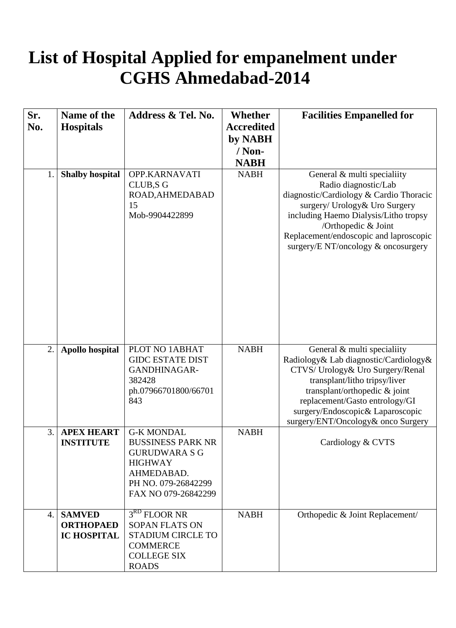## **List of Hospital Applied for empanelment under CGHS Ahmedabad-2014**

| Sr. | Name of the                                             | Address & Tel. No.                                                                                                                                  | <b>Whether</b>    | <b>Facilities Empanelled for</b>                                                                                                                                                                                                                                                       |
|-----|---------------------------------------------------------|-----------------------------------------------------------------------------------------------------------------------------------------------------|-------------------|----------------------------------------------------------------------------------------------------------------------------------------------------------------------------------------------------------------------------------------------------------------------------------------|
| No. | <b>Hospitals</b>                                        |                                                                                                                                                     | <b>Accredited</b> |                                                                                                                                                                                                                                                                                        |
|     |                                                         |                                                                                                                                                     | by NABH           |                                                                                                                                                                                                                                                                                        |
|     |                                                         |                                                                                                                                                     | $/$ Non-          |                                                                                                                                                                                                                                                                                        |
|     |                                                         |                                                                                                                                                     | <b>NABH</b>       |                                                                                                                                                                                                                                                                                        |
| 1.  | <b>Shalby hospital</b>                                  | OPP.KARNAVATI<br>CLUB, SG<br>ROAD, AHMEDABAD<br>15<br>Mob-9904422899                                                                                | <b>NABH</b>       | General & multi specialiity<br>Radio diagnostic/Lab<br>diagnostic/Cardiology & Cardio Thoracic<br>surgery/ Urology& Uro Surgery<br>including Haemo Dialysis/Litho tropsy<br>/Orthopedic & Joint<br>Replacement/endoscopic and laproscopic<br>surgery/E NT/oncology & oncosurgery       |
| 2.  | <b>Apollo hospital</b>                                  | PLOT NO 1ABHAT<br><b>GIDC ESTATE DIST</b><br>GANDHINAGAR-<br>382428<br>ph.07966701800/66701<br>843                                                  | <b>NABH</b>       | General & multi specialiity<br>Radiology& Lab diagnostic/Cardiology&<br>CTVS/ Urology& Uro Surgery/Renal<br>transplant/litho tripsy/liver<br>transplant/orthopedic & joint<br>replacement/Gasto entrology/GI<br>surgery/Endoscopic& Laparoscopic<br>surgery/ENT/Oncology& onco Surgery |
| 3.  | <b>APEX HEART</b><br><b>INSTITUTE</b>                   | <b>G-K MONDAL</b><br><b>BUSSINESS PARK NR</b><br><b>GURUDWARA S G</b><br><b>HIGHWAY</b><br>AHMEDABAD.<br>PH NO. 079-26842299<br>FAX NO 079-26842299 | <b>NABH</b>       | Cardiology & CVTS                                                                                                                                                                                                                                                                      |
| 4.  | <b>SAMVED</b><br><b>ORTHOPAED</b><br><b>IC HOSPITAL</b> | 3 <sup>RD</sup> FLOOR NR<br><b>SOPAN FLATS ON</b><br><b>STADIUM CIRCLE TO</b><br><b>COMMERCE</b><br><b>COLLEGE SIX</b><br><b>ROADS</b>              | <b>NABH</b>       | Orthopedic & Joint Replacement/                                                                                                                                                                                                                                                        |